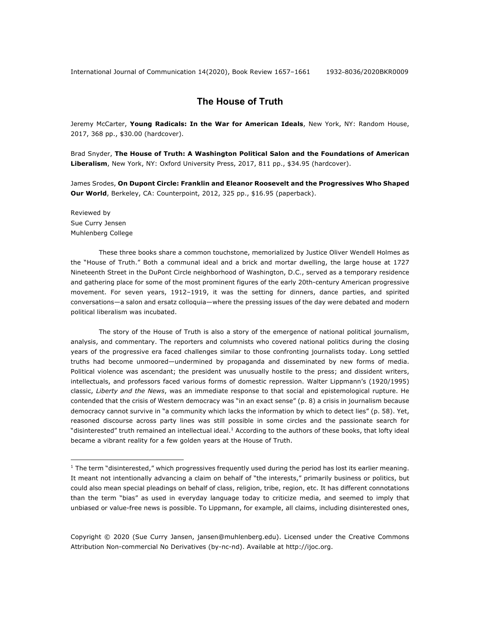## **The House of Truth**

Jeremy McCarter, **Young Radicals: In the War for American Ideals**, New York, NY: Random House, 2017, 368 pp., \$30.00 (hardcover).

Brad Snyder, **The House of Truth: A Washington Political Salon and the Foundations of American Liberalism**, New York, NY: Oxford University Press, 2017, 811 pp., \$34.95 (hardcover).

James Srodes, **On Dupont Circle: Franklin and Eleanor Roosevelt and the Progressives Who Shaped Our World**, Berkeley, CA: Counterpoint, 2012, 325 pp., \$16.95 (paperback).

Reviewed by Sue Curry Jensen Muhlenberg College

These three books share a common touchstone, memorialized by Justice Oliver Wendell Holmes as the "House of Truth." Both a communal ideal and a brick and mortar dwelling, the large house at 1727 Nineteenth Street in the DuPont Circle neighborhood of Washington, D.C., served as a temporary residence and gathering place for some of the most prominent figures of the early 20th-century American progressive movement. For seven years, 1912–1919, it was the setting for dinners, dance parties, and spirited conversations—a salon and ersatz colloquia—where the pressing issues of the day were debated and modern political liberalism was incubated.

The story of the House of Truth is also a story of the emergence of national political journalism, analysis, and commentary. The reporters and columnists who covered national politics during the closing years of the progressive era faced challenges similar to those confronting journalists today. Long settled truths had become unmoored—undermined by propaganda and disseminated by new forms of media. Political violence was ascendant; the president was unusually hostile to the press; and dissident writers, intellectuals, and professors faced various forms of domestic repression. Walter Lippmann's (1920/1995) classic, *Liberty and the News*, was an immediate response to that social and epistemological rupture. He contended that the crisis of Western democracy was "in an exact sense" (p. 8) a crisis in journalism because democracy cannot survive in "a community which lacks the information by which to detect lies" (p. 58). Yet, reasoned discourse across party lines was still possible in some circles and the passionate search for "disinterested" truth remained an intellectual ideal.<sup>1</sup> According to the authors of these books, that lofty ideal became a vibrant reality for a few golden years at the House of Truth.

Copyright © 2020 (Sue Curry Jansen, jansen@muhlenberg.edu). Licensed under the Creative Commons Attribution Non-commercial No Derivatives (by-nc-nd). Available at http://ijoc.org.

 $1$  The term "disinterested," which progressives frequently used during the period has lost its earlier meaning. It meant not intentionally advancing a claim on behalf of "the interests," primarily business or politics, but could also mean special pleadings on behalf of class, religion, tribe, region, etc. It has different connotations than the term "bias" as used in everyday language today to criticize media, and seemed to imply that unbiased or value-free news is possible. To Lippmann, for example, all claims, including disinterested ones,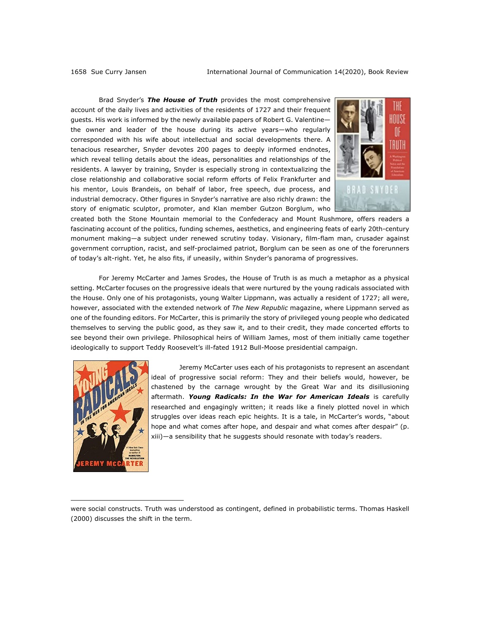Brad Snyder's *The House of Truth* provides the most comprehensive account of the daily lives and activities of the residents of 1727 and their frequent guests. His work is informed by the newly available papers of Robert G. Valentine the owner and leader of the house during its active years—who regularly corresponded with his wife about intellectual and social developments there. A tenacious researcher, Snyder devotes 200 pages to deeply informed endnotes, which reveal telling details about the ideas, personalities and relationships of the residents. A lawyer by training, Snyder is especially strong in contextualizing the close relationship and collaborative social reform efforts of Felix Frankfurter and his mentor, Louis Brandeis, on behalf of labor, free speech, due process, and industrial democracy. Other figures in Snyder's narrative are also richly drawn: the story of enigmatic sculptor, promoter, and Klan member Gutzon Borglum, who



created both the Stone Mountain memorial to the Confederacy and Mount Rushmore, offers readers a fascinating account of the politics, funding schemes, aesthetics, and engineering feats of early 20th-century monument making—a subject under renewed scrutiny today. Visionary, film-flam man, crusader against government corruption, racist, and self-proclaimed patriot, Borglum can be seen as one of the forerunners of today's alt-right. Yet, he also fits, if uneasily, within Snyder's panorama of progressives.

For Jeremy McCarter and James Srodes, the House of Truth is as much a metaphor as a physical setting. McCarter focuses on the progressive ideals that were nurtured by the young radicals associated with the House. Only one of his protagonists, young Walter Lippmann, was actually a resident of 1727; all were, however, associated with the extended network of *The New Republic* magazine, where Lippmann served as one of the founding editors. For McCarter, this is primarily the story of privileged young people who dedicated themselves to serving the public good, as they saw it, and to their credit, they made concerted efforts to see beyond their own privilege. Philosophical heirs of William James, most of them initially came together ideologically to support Teddy Roosevelt's ill-fated 1912 Bull-Moose presidential campaign.



Jeremy McCarter uses each of his protagonists to represent an ascendant ideal of progressive social reform: They and their beliefs would, however, be chastened by the carnage wrought by the Great War and its disillusioning aftermath. *Young Radicals: In the War for American Ideals* is carefully researched and engagingly written; it reads like a finely plotted novel in which struggles over ideas reach epic heights. It is a tale, in McCarter's words, "about hope and what comes after hope, and despair and what comes after despair" (p. xiii)—a sensibility that he suggests should resonate with today's readers.

were social constructs. Truth was understood as contingent, defined in probabilistic terms. Thomas Haskell (2000) discusses the shift in the term.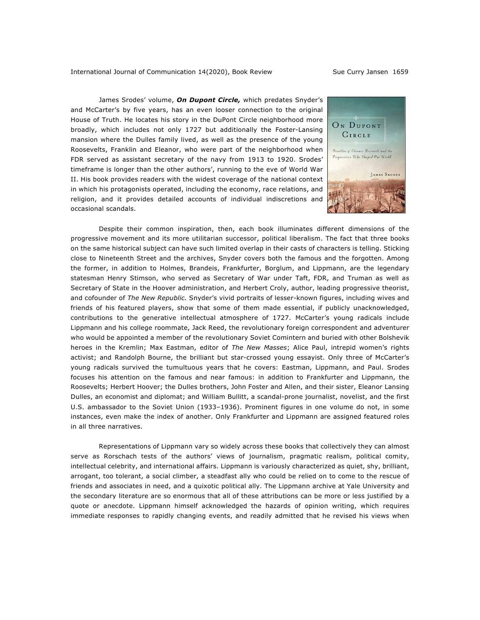James Srodes' volume, *On Dupont Circle,* which predates Snyder's and McCarter's by five years, has an even looser connection to the original House of Truth. He locates his story in the DuPont Circle neighborhood more broadly, which includes not only 1727 but additionally the Foster-Lansing mansion where the Dulles family lived, as well as the presence of the young Roosevelts, Franklin and Eleanor, who were part of the neighborhood when FDR served as assistant secretary of the navy from 1913 to 1920. Srodes' timeframe is longer than the other authors', running to the eve of World War II. His book provides readers with the widest coverage of the national context in which his protagonists operated, including the economy, race relations, and religion, and it provides detailed accounts of individual indiscretions and occasional scandals.



Despite their common inspiration, then, each book illuminates different dimensions of the progressive movement and its more utilitarian successor, political liberalism. The fact that three books on the same historical subject can have such limited overlap in their casts of characters is telling. Sticking close to Nineteenth Street and the archives, Snyder covers both the famous and the forgotten. Among the former, in addition to Holmes, Brandeis, Frankfurter, Borglum, and Lippmann, are the legendary statesman Henry Stimson, who served as Secretary of War under Taft, FDR, and Truman as well as Secretary of State in the Hoover administration, and Herbert Croly, author, leading progressive theorist, and cofounder of *The New Republic.* Snyder's vivid portraits of lesser-known figures, including wives and friends of his featured players, show that some of them made essential, if publicly unacknowledged, contributions to the generative intellectual atmosphere of 1727. McCarter's young radicals include Lippmann and his college roommate, Jack Reed, the revolutionary foreign correspondent and adventurer who would be appointed a member of the revolutionary Soviet Comintern and buried with other Bolshevik heroes in the Kremlin; Max Eastman, editor of *The New Masses*; Alice Paul, intrepid women's rights activist; and Randolph Bourne, the brilliant but star-crossed young essayist. Only three of McCarter's young radicals survived the tumultuous years that he covers: Eastman, Lippmann, and Paul. Srodes focuses his attention on the famous and near famous: in addition to Frankfurter and Lippmann, the Roosevelts; Herbert Hoover; the Dulles brothers, John Foster and Allen, and their sister, Eleanor Lansing Dulles, an economist and diplomat; and William Bullitt, a scandal-prone journalist, novelist, and the first U.S. ambassador to the Soviet Union (1933–1936). Prominent figures in one volume do not, in some instances, even make the index of another. Only Frankfurter and Lippmann are assigned featured roles in all three narratives.

Representations of Lippmann vary so widely across these books that collectively they can almost serve as Rorschach tests of the authors' views of journalism, pragmatic realism, political comity, intellectual celebrity, and international affairs. Lippmann is variously characterized as quiet, shy, brilliant, arrogant, too tolerant, a social climber, a steadfast ally who could be relied on to come to the rescue of friends and associates in need, and a quixotic political ally. The Lippmann archive at Yale University and the secondary literature are so enormous that all of these attributions can be more or less justified by a quote or anecdote. Lippmann himself acknowledged the hazards of opinion writing, which requires immediate responses to rapidly changing events, and readily admitted that he revised his views when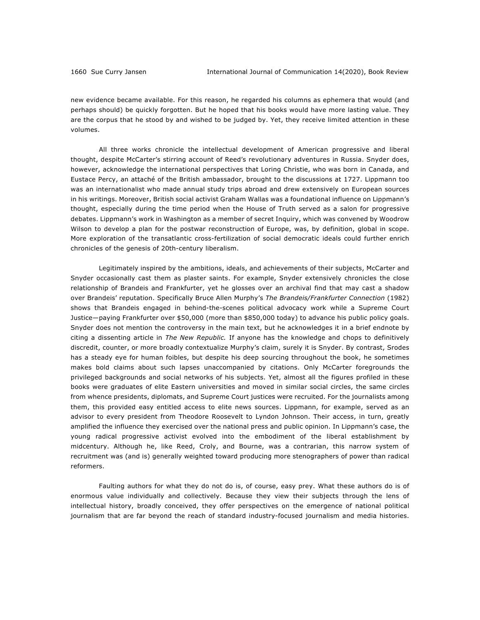new evidence became available. For this reason, he regarded his columns as ephemera that would (and perhaps should) be quickly forgotten. But he hoped that his books would have more lasting value. They are the corpus that he stood by and wished to be judged by. Yet, they receive limited attention in these volumes.

All three works chronicle the intellectual development of American progressive and liberal thought, despite McCarter's stirring account of Reed's revolutionary adventures in Russia. Snyder does, however, acknowledge the international perspectives that Loring Christie, who was born in Canada, and Eustace Percy, an attaché of the British ambassador, brought to the discussions at 1727. Lippmann too was an internationalist who made annual study trips abroad and drew extensively on European sources in his writings. Moreover, British social activist Graham Wallas was a foundational influence on Lippmann's thought, especially during the time period when the House of Truth served as a salon for progressive debates. Lippmann's work in Washington as a member of secret Inquiry, which was convened by Woodrow Wilson to develop a plan for the postwar reconstruction of Europe, was, by definition, global in scope. More exploration of the transatlantic cross-fertilization of social democratic ideals could further enrich chronicles of the genesis of 20th-century liberalism.

Legitimately inspired by the ambitions, ideals, and achievements of their subjects, McCarter and Snyder occasionally cast them as plaster saints. For example, Snyder extensively chronicles the close relationship of Brandeis and Frankfurter, yet he glosses over an archival find that may cast a shadow over Brandeis' reputation. Specifically Bruce Allen Murphy's *The Brandeis/Frankfurter Connection* (1982) shows that Brandeis engaged in behind-the-scenes political advocacy work while a Supreme Court Justice—paying Frankfurter over \$50,000 (more than \$850,000 today) to advance his public policy goals. Snyder does not mention the controversy in the main text, but he acknowledges it in a brief endnote by citing a dissenting article in *The New Republic.* If anyone has the knowledge and chops to definitively discredit, counter, or more broadly contextualize Murphy's claim, surely it is Snyder. By contrast, Srodes has a steady eye for human foibles, but despite his deep sourcing throughout the book, he sometimes makes bold claims about such lapses unaccompanied by citations. Only McCarter foregrounds the privileged backgrounds and social networks of his subjects. Yet, almost all the figures profiled in these books were graduates of elite Eastern universities and moved in similar social circles, the same circles from whence presidents, diplomats, and Supreme Court justices were recruited. For the journalists among them, this provided easy entitled access to elite news sources. Lippmann, for example, served as an advisor to every president from Theodore Roosevelt to Lyndon Johnson. Their access, in turn, greatly amplified the influence they exercised over the national press and public opinion. In Lippmann's case, the young radical progressive activist evolved into the embodiment of the liberal establishment by midcentury. Although he, like Reed, Croly, and Bourne, was a contrarian, this narrow system of recruitment was (and is) generally weighted toward producing more stenographers of power than radical reformers.

Faulting authors for what they do not do is, of course, easy prey. What these authors do is of enormous value individually and collectively. Because they view their subjects through the lens of intellectual history, broadly conceived, they offer perspectives on the emergence of national political journalism that are far beyond the reach of standard industry-focused journalism and media histories.